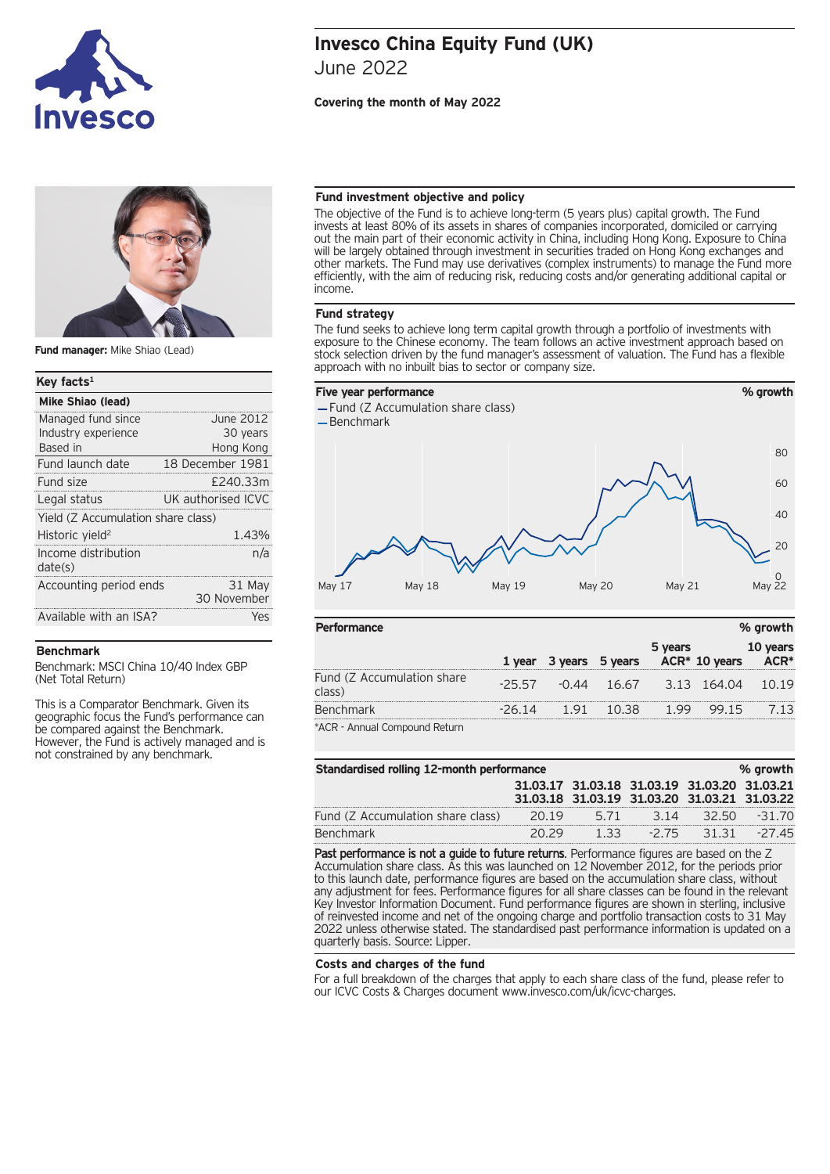



**Fund manager:** Mike Shiao (Lead)

## **Key facts1**

| Mike Shiao (lead)                  |                       |  |  |  |
|------------------------------------|-----------------------|--|--|--|
| Managed fund since                 | June 2012             |  |  |  |
| Industry experience                | 30 years              |  |  |  |
| Based in                           | Hong Kong             |  |  |  |
| Fund launch date                   | 18 December 1981      |  |  |  |
| Fund size                          | £240.33m              |  |  |  |
| Legal status                       | UK authorised ICVC    |  |  |  |
| Yield (Z Accumulation share class) |                       |  |  |  |
| Historic yield <sup>2</sup>        | 1.43%                 |  |  |  |
| Income distribution<br>date(s)     | n/a                   |  |  |  |
| Accounting period ends             | 31 May<br>30 November |  |  |  |
| Available with an ISA?             | Yes                   |  |  |  |
|                                    |                       |  |  |  |

# **Benchmark**

Benchmark: MSCI China 10/40 Index GBP (Net Total Return)

This is a Comparator Benchmark. Given its geographic focus the Fund's performance can be compared against the Benchmark. However, the Fund is actively managed and is not constrained by any benchmark.

# **Invesco China Equity Fund (UK)** June 2022

# **Covering the month of May 2022**

## **Fund investment objective and policy**

The objective of the Fund is to achieve long-term (5 years plus) capital growth. The Fund invests at least 80% of its assets in shares of companies incorporated, domiciled or carrying out the main part of their economic activity in China, including Hong Kong. Exposure to China will be largely obtained through investment in securities traded on Hong Kong exchanges and other markets. The Fund may use derivatives (complex instruments) to manage the Fund more efficiently, with the aim of reducing risk, reducing costs and/or generating additional capital or income.

## **Fund strategy**

The fund seeks to achieve long term capital growth through a portfolio of investments with exposure to the Chinese economy. The team follows an active investment approach based on stock selection driven by the fund manager's assessment of valuation. The Fund has a flexible approach with no inbuilt bias to sector or company size.



| <b>Performance</b>                   |         |     |                                                  |         | % growth |                  |
|--------------------------------------|---------|-----|--------------------------------------------------|---------|----------|------------------|
|                                      |         |     | 1 year 3 years 5 years ACR* 10 years             | 5 years |          | 10 years<br>ACR* |
| Fund (Z Accumulation share<br>class) |         |     | $-25.57$ $-0.44$ $16.67$ $3.13$ $164.04$ $10.19$ |         |          |                  |
| <b>Benchmark</b>                     | $-2614$ | 191 | $-10.38$                                         | 1.99    | 99 15    |                  |
| *ACR - Annual Compound Return        |         |     |                                                  |         |          |                  |

| Standardised rolling 12-month performance<br>% growth |       |                                                                                              |         |        |          |
|-------------------------------------------------------|-------|----------------------------------------------------------------------------------------------|---------|--------|----------|
|                                                       |       | 31.03.17 31.03.18 31.03.19 31.03.20 31.03.21<br>31.03.18 31.03.19 31.03.20 31.03.21 31.03.22 |         |        |          |
| Fund (Z Accumulation share class)                     | 20.19 | 5 7 1                                                                                        | 3 14    | 32 50. | $-31.70$ |
| <b>Benchmark</b>                                      |       |                                                                                              | $-2.75$ | 3131   | $-2745$  |

Past performance is not a guide to future returns. Performance figures are based on the Z Accumulation share class. As this was launched on 12 November 2012, for the periods prior to this launch date, performance figures are based on the accumulation share class, without any adjustment for fees. Performance figures for all share classes can be found in the relevant Key Investor Information Document. Fund performance figures are shown in sterling, inclusive of reinvested income and net of the ongoing charge and portfolio transaction costs to 31 May 2022 unless otherwise stated. The standardised past performance information is updated on a quarterly basis. Source: Lipper.

#### **Costs and charges of the fund**

For a full breakdown of the charges that apply to each share class of the fund, please refer to our ICVC Costs & Charges document www.invesco.com/uk/icvc-charges.